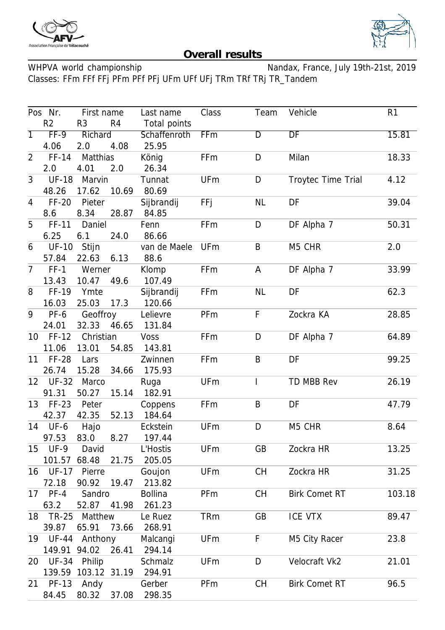



## **Overall results**

WHPVA world championship Nandax, France, July 19th-21st, 2019 Classes: FFm FFf FFj PFm PFf PFj UFm UFf UFj TRm TRf TRj TR\_Tandem

|                | Pos Nr.                                  | First name          |              | Last name      | Class          | Team               | Vehicle              | R <sub>1</sub> |
|----------------|------------------------------------------|---------------------|--------------|----------------|----------------|--------------------|----------------------|----------------|
|                | R2<br>R <sub>4</sub><br>R <sub>3</sub>   |                     | Total points |                |                |                    |                      |                |
| $\overline{1}$ | $FF-9$<br>Richard<br>4.08<br>4.06<br>2.0 |                     | Schaffenroth | FFm            | $\overline{D}$ | DF                 | 15.81                |                |
|                |                                          |                     | 25.95        |                |                |                    |                      |                |
| $\overline{2}$ | FF-14                                    | Matthias            |              | König          | FFm            | D                  | Milan                | 18.33          |
|                | 2.0                                      | 4.01<br>2.0         |              | 26.34          |                |                    |                      |                |
| $\mathfrak{Z}$ | <b>UF-18</b><br>Marvin                   |                     | Tunnat       | <b>UFm</b>     | D              | Troytec Time Trial | 4.12                 |                |
|                | 17.62<br>48.26<br>10.69                  |                     | 80.69        |                |                |                    |                      |                |
| 4              | $FF-20$                                  | Pieter              |              | Sijbrandij     | <b>FFj</b>     | <b>NL</b>          | DF                   | 39.04          |
|                | 8.6                                      | 8.34                | 28.87        | 84.85          |                |                    |                      |                |
| 5              | FF-11                                    | Daniel              |              | Fenn           | FFm            | D                  | DF Alpha 7           | 50.31          |
|                | 6.25                                     | 6.1                 | 24.0         | 86.66          |                |                    |                      |                |
| 6              | <b>UF-10</b>                             | Stijn               |              | van de Maele   | <b>UFm</b>     | B                  | M5 CHR               | 2.0            |
|                | 57.84                                    | 22.63               | 6.13         | 88.6           |                |                    |                      |                |
| $\overline{7}$ | $FF-1$                                   | Werner              |              | Klomp          | FFm            | A                  | DF Alpha 7           | 33.99          |
|                | 13.43                                    | 10.47               | 49.6         | 107.49         |                |                    |                      |                |
| 8              | FF-19                                    | Ymte                |              | Sijbrandij     | FFm            | <b>NL</b>          | DF                   | 62.3           |
|                | 16.03                                    | 25.03               | 17.3         | 120.66         |                |                    |                      |                |
| 9              | PF-6                                     | Geoffroy            |              | Lelievre       | PFm            | F                  | Zockra KA            | 28.85          |
|                | 24.01                                    | 32.33 46.65         |              | 131.84         |                |                    |                      |                |
|                | 10 FF-12                                 | Christian           |              | <b>Voss</b>    | FFm            | D                  | DF Alpha 7           | 64.89          |
|                | 11.06                                    | 13.01               | 54.85        | 143.81         |                |                    |                      |                |
| 11             | <b>FF-28</b>                             | Lars                |              | Zwinnen        | FFm            | B                  | DF                   | 99.25          |
|                | 26.74                                    | 15.28               | 34.66        | 175.93         |                |                    |                      |                |
|                | 12 UF-32                                 | Marco               |              | Ruga           | <b>UFm</b>     | I                  | TD MBB Rev           | 26.19          |
|                | 91.31                                    | 50.27               | 15.14        | 182.91         |                |                    |                      |                |
| 13             | $FF-23$                                  | Peter               |              | Coppens        | FFm            | B                  | DF                   | 47.79          |
|                | 42.37                                    | 42.35               | 52.13        | 184.64         |                |                    |                      |                |
| 14             | UF-6                                     | Hajo                |              | Eckstein       | <b>UFm</b>     | D                  | M5 CHR               | 8.64           |
|                | 97.53                                    | 83.0                | 8.27         | 197.44         |                |                    |                      |                |
| 15             | $UF-9$                                   | David               |              | L'Hostis       | <b>UFm</b>     | GB                 | Zockra HR            | 13.25          |
|                | 101.57                                   | 68.48               | 21.75        | 205.05         |                |                    |                      |                |
| 16             | <b>UF-17</b>                             | Pierre              |              | Goujon         | <b>UFm</b>     | CH                 | Zockra HR            | 31.25          |
|                | 72.18                                    | 90.92               | 19.47        | 213.82         |                |                    |                      |                |
|                | 17 PF-4                                  | Sandro              |              | <b>Bollina</b> | PFm            | <b>CH</b>          | <b>Birk Comet RT</b> | 103.18         |
|                | 63.2                                     | 52.87               | 41.98        | 261.23         |                |                    |                      |                |
| 18             | TR-25                                    | Matthew             |              | Le Ruez        | <b>TRm</b>     | GB                 | <b>ICE VTX</b>       | 89.47          |
|                | 39.87                                    | 65.91<br>73.66      |              | 268.91         |                |                    |                      |                |
|                | 19 UF-44                                 | Anthony             |              | Malcangi       | <b>UFm</b>     | F                  | M5 City Racer        | 23.8           |
|                | 149.91 94.02                             | 26.41               |              | 294.14         |                |                    |                      |                |
| 20             | UF-34                                    | Philip              |              | Schmalz        | <b>UFm</b>     | D                  | Velocraft Vk2        | 21.01          |
|                |                                          | 139.59 103.12 31.19 |              | 294.91         |                |                    |                      |                |
| 21             | <b>PF-13</b>                             | Andy                |              | Gerber         | PFm            | <b>CH</b>          | <b>Birk Comet RT</b> | 96.5           |
|                | 84.45                                    | 80.32               | 37.08        | 298.35         |                |                    |                      |                |
|                |                                          |                     |              |                |                |                    |                      |                |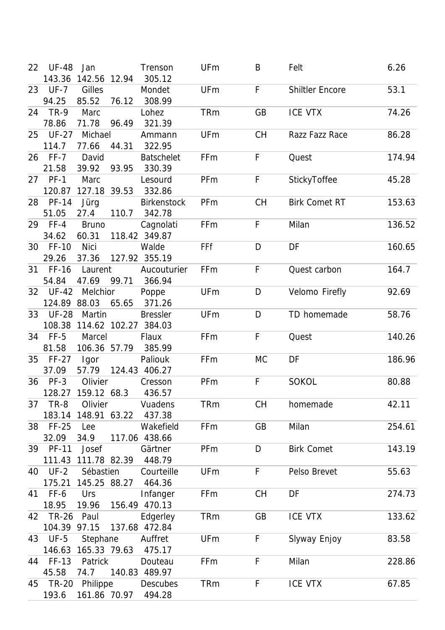| 22 | <b>UF-48</b>      | Jan                      |       | Trenson                     | UFm        | B         | Felt                   | 6.26   |
|----|-------------------|--------------------------|-------|-----------------------------|------------|-----------|------------------------|--------|
|    |                   | 143.36 142.56 12.94      |       | 305.12                      |            |           |                        |        |
| 23 | <b>UF-7</b>       | Gilles                   |       | Mondet                      | <b>UFm</b> | F         | <b>Shiltler Encore</b> | 53.1   |
|    | 94.25             | 85.52                    | 76.12 | 308.99                      |            |           |                        |        |
| 24 | <b>TR-9</b>       | Marc                     |       | Lohez                       | <b>TRm</b> | GB        | <b>ICE VTX</b>         | 74.26  |
|    | 78.86             | 71.78                    | 96.49 | 321.39                      |            |           |                        |        |
|    | 25 UF-27          | Michael                  |       | Ammann                      | <b>UFm</b> | CH        | Razz Fazz Race         | 86.28  |
|    | 114.7             | 77.66                    | 44.31 | 322.95                      |            |           |                        |        |
|    | 26 FF-7           | David                    |       | <b>Batschelet</b>           | FFm        | F         | Quest                  | 174.94 |
|    | 21.58             | 39.92                    | 93.95 | 330.39                      |            |           |                        |        |
|    | 27 PF-1           | Marc                     |       | Lesourd                     | PFm        | F         | StickyToffee           | 45.28  |
|    | 120.87            | 127.18                   | 39.53 | 332.86                      |            |           |                        |        |
|    | 28 PF-14          | Jürg                     |       | <b>Birkenstock</b>          | PFm        | CH        | <b>Birk Comet RT</b>   | 153.63 |
|    | 51.05             | 27.4                     | 110.7 | 342.78                      |            |           |                        |        |
|    | 29 FF-4           | <b>Bruno</b>             |       | Cagnolati                   | FFm        | F         | Milan                  | 136.52 |
|    | 34.62             | 60.31                    |       | 118.42 349.87               |            |           |                        |        |
|    | 30 FF-10          | <b>Nici</b>              |       | Walde                       | FFf        | D         | DF                     | 160.65 |
|    | 29.26             | 37.36                    |       | 127.92 355.19               |            |           |                        |        |
|    | 31 FF-16          | Laurent                  |       | Aucouturier                 | FFm        | F         | Quest carbon           | 164.7  |
|    | 54.84             | 47.69 99.71              |       | 366.94                      |            |           |                        |        |
|    | 32 UF-42          | Melchior                 |       | Poppe                       | <b>UFm</b> | D         | Velomo Firefly         | 92.69  |
|    | 124.89 88.03      |                          | 65.65 | 371.26                      |            |           |                        |        |
|    | 33 UF-28          | Martin                   |       | <b>Bressler</b>             | <b>UFm</b> | D         | TD homemade            | 58.76  |
|    |                   |                          |       | 108.38 114.62 102.27 384.03 |            |           |                        |        |
|    | 34 FF-5           | Marcel                   |       | Flaux                       | FFm        | F         | Quest                  | 140.26 |
|    | 81.58             | 106.36 57.79             |       | 385.99                      |            |           |                        |        |
|    | 35 FF-27          | Igor                     |       | Paliouk                     | FFm        | <b>MC</b> | DF                     | 186.96 |
|    | 37.09             | 57.79                    |       | 124.43 406.27               |            |           |                        |        |
|    | 36 PF-3           | Olivier                  |       | Cresson                     | PFm        | F         | <b>SOKOL</b>           | 80.88  |
|    |                   | 128.27 159.12 68.3       |       | 436.57                      |            |           |                        |        |
| 37 | $TR-8$            | Olivier                  |       | Vuadens                     | <b>TRm</b> | CH        | homemade               | 42.11  |
|    |                   | 183.14 148.91 63.22      |       | 437.38                      |            |           |                        |        |
|    | 38 FF-25          |                          |       | Wakefield                   |            | GB        |                        |        |
|    |                   | Lee                      |       |                             | FFm        |           | Milan                  | 254.61 |
|    | 32.09             | 34.9                     |       | 117.06 438.66               |            |           |                        |        |
|    | 39 PF-11          | Josef                    |       | Gärtner                     | PFm        | D         | <b>Birk Comet</b>      | 143.19 |
|    |                   | 111.43 111.78 82.39      |       | 448.79                      |            |           |                        |        |
|    | 40 UF-2           | Sébastien                |       | Courteille                  | <b>UFm</b> | F         | Pelso Brevet           | 55.63  |
|    | 175.21            | 145.25 88.27             |       | 464.36                      |            |           |                        |        |
| 41 | FF-6              | Urs                      |       | Infanger                    | FFm        | <b>CH</b> | DF                     | 274.73 |
|    | 18.95             | 19.96                    |       | 156.49 470.13               |            |           |                        |        |
|    | 42 TR-26          | Paul                     |       | Edgerley                    | <b>TRm</b> | GB        | ICE VTX                | 133.62 |
|    | 104.39 97.15      |                          |       | 137.68 472.84               |            |           |                        |        |
| 43 | $UF-5$            | Stephane                 |       | Auffret                     | UFm        | F         | Slyway Enjoy           | 83.58  |
|    |                   | 146.63 165.33 79.63      |       | 475.17                      |            |           |                        |        |
|    | 44 FF-13          | Patrick                  |       | Douteau                     | FFm        | F         | Milan                  | 228.86 |
|    | 45.58             | 74.7                     |       | 140.83 489.97               |            |           |                        |        |
|    |                   |                          |       |                             |            |           |                        |        |
|    | 45 TR-20<br>193.6 | Philippe<br>161.86 70.97 |       | <b>Descubes</b><br>494.28   | TRm        | F         | <b>ICE VTX</b>         | 67.85  |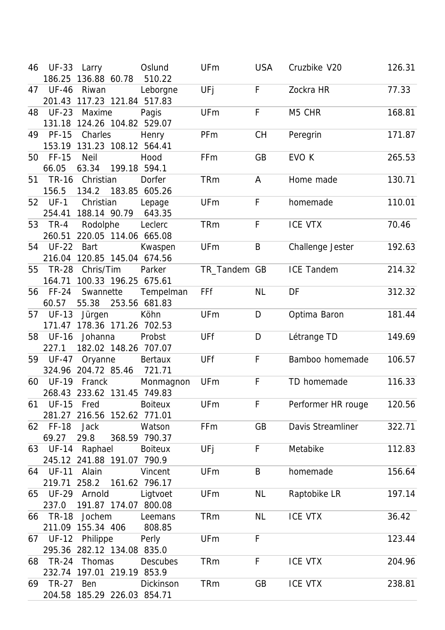| 46 | <b>UF-33</b> | Larry                       | Oslund         | UFm          | <b>USA</b> | Cruzbike V20       | 126.31 |
|----|--------------|-----------------------------|----------------|--------------|------------|--------------------|--------|
|    |              | 186.25 136.88 60.78         | 510.22         |              |            |                    |        |
| 47 | <b>UF-46</b> | Riwan                       | Leborgne       | UFj          | F          | Zockra HR          | 77.33  |
|    |              | 201.43 117.23 121.84 517.83 |                |              |            |                    |        |
| 48 | <b>UF-23</b> | Maxime                      | Pagis          | <b>UFm</b>   | F          | M5 CHR             | 168.81 |
|    |              | 131.18 124.26 104.82 529.07 |                |              |            |                    |        |
| 49 | <b>PF-15</b> | Charles                     | Henry          | PFm          | <b>CH</b>  | Peregrin           | 171.87 |
|    | 153.19       | 131.23 108.12 564.41        |                |              |            |                    |        |
| 50 | <b>FF-15</b> | <b>Neil</b>                 | Hood           | FFm          | GB         | EVO K              | 265.53 |
|    | 66.05        | 63.34                       | 199.18 594.1   |              |            |                    |        |
| 51 | <b>TR-16</b> | Christian                   | Dorfer         | <b>TRm</b>   | A          | Home made          | 130.71 |
|    | 156.5        | 134.2                       | 183.85 605.26  |              |            |                    |        |
|    | 52 UF-1      | Christian                   | Lepage         | <b>UFm</b>   | F          | homemade           | 110.01 |
|    |              | 254.41 188.14 90.79         | 643.35         |              |            |                    |        |
|    | 53 TR-4      | Rodolphe                    | Leclerc        | <b>TRm</b>   | F          | <b>ICE VTX</b>     | 70.46  |
|    | 260.51       | 220.05 114.06 665.08        |                |              |            |                    |        |
| 54 | <b>UF-22</b> | <b>Bart</b>                 |                | <b>UFm</b>   | B          |                    | 192.63 |
|    |              |                             | Kwaspen        |              |            | Challenge Jester   |        |
|    |              | 216.04 120.85 145.04 674.56 |                |              |            |                    |        |
|    | 55 TR-28     | Chris/Tim                   | Parker         | TR_Tandem GB |            | <b>ICE Tandem</b>  | 214.32 |
|    | 164.71       | 100.33 196.25 675.61        |                |              |            |                    |        |
| 56 | $FF-24$      | Swannette                   | Tempelman      | FFf          | <b>NL</b>  | DF                 | 312.32 |
|    | 60.57        | 55.38                       | 253.56 681.83  |              |            |                    |        |
| 57 | <b>UF-13</b> | Jürgen                      | Köhn           | <b>UFm</b>   | D          | Optima Baron       | 181.44 |
|    |              | 171.47 178.36 171.26 702.53 |                |              |            |                    |        |
| 58 | <b>UF-16</b> | Johanna                     | Probst         | UFf          | D          | Létrange TD        | 149.69 |
|    | 227.1        | 182.02 148.26 707.07        |                |              |            |                    |        |
| 59 | <b>UF-47</b> | Oryanne                     | <b>Bertaux</b> | UFf          | F          | Bamboo homemade    | 106.57 |
|    |              | 324.96 204.72 85.46         | 721.71         |              |            |                    |        |
| 60 | <b>UF-19</b> | Franck                      | Monmagnon      | <b>UFm</b>   | F          | TD homemade        | 116.33 |
|    |              | 268.43 233.62 131.45 749.83 |                |              |            |                    |        |
| 61 | UF-15        | Fred                        | <b>Boiteux</b> | <b>UFm</b>   | F          | Performer HR rouge | 120.56 |
|    |              | 281.27 216.56 152.62 771.01 |                |              |            |                    |        |
|    | 62 FF-18     | <b>Jack</b>                 | Watson         | FFm          | GB         | Davis Streamliner  | 322.71 |
|    | 69.27        | 29.8                        | 368.59 790.37  |              |            |                    |        |
|    | 63 UF-14     | Raphael                     | <b>Boiteux</b> | UFj          | F          | Metabike           | 112.83 |
|    |              | 245.12 241.88 191.07 790.9  |                |              |            |                    |        |
|    | 64 UF-11     | Alain                       | Vincent        | <b>UFm</b>   | B          | homemade           | 156.64 |
|    |              | 219.71 258.2 161.62 796.17  |                |              |            |                    |        |
|    | 65 UF-29     | Arnold                      | Ligtvoet       | <b>UFm</b>   | <b>NL</b>  | Raptobike LR       | 197.14 |
|    | 237.0        | 191.87 174.07 800.08        |                |              |            |                    |        |
|    |              |                             |                |              |            |                    |        |
|    | 66 TR-18     | Jochem                      | Leemans        | <b>TRm</b>   | NL         | ICE VTX            | 36.42  |
|    |              | 211.09 155.34 406           | 808.85         |              |            |                    |        |
|    | 67 UF-12     | Philippe                    | Perly          | <b>UFm</b>   | F          |                    | 123.44 |
|    |              | 295.36 282.12 134.08 835.0  |                |              |            |                    |        |
|    | 68 TR-24     | Thomas                      | Descubes       | <b>TRm</b>   | F          | <b>ICE VTX</b>     | 204.96 |
|    |              | 232.74 197.01 219.19 853.9  |                |              |            |                    |        |
|    | 69 TR-27     | Ben                         | Dickinson      | <b>TRm</b>   | GB         | ICE VTX            | 238.81 |
|    |              | 204.58 185.29 226.03 854.71 |                |              |            |                    |        |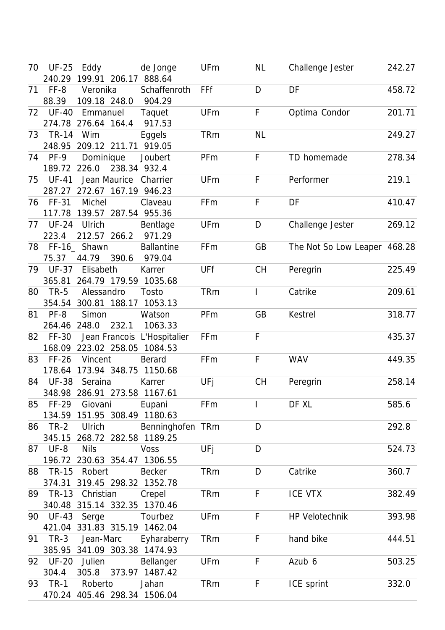| 70 | <b>UF-25</b> | Eddy                         | de Jonge          | <b>UFm</b> | NL        | Challenge Jester             | 242.27 |
|----|--------------|------------------------------|-------------------|------------|-----------|------------------------------|--------|
|    |              | 240.29 199.91 206.17 888.64  |                   |            |           |                              |        |
| 71 | FF-8         | Veronika                     | Schaffenroth      | FFf        | D         | DF                           | 458.72 |
|    | 88.39        | 109.18 248.0                 | 904.29            |            |           |                              |        |
| 72 | <b>UF-40</b> | Emmanuel                     | Taquet            | <b>UFm</b> | F         | Optima Condor                | 201.71 |
|    |              | 274.78 276.64 164.4          | 917.53            |            |           |                              |        |
|    | 73 TR-14     | Wim                          | <b>Eggels</b>     | <b>TRm</b> | <b>NL</b> |                              | 249.27 |
|    | 248.95       | 209.12 211.71 919.05         |                   |            |           |                              |        |
| 74 | $PF-9$       | Dominique                    | Joubert           | PFm        | F         | TD homemade                  | 278.34 |
|    |              | 238.34 932.4<br>189.72 226.0 |                   |            |           |                              |        |
| 75 | <b>UF-41</b> | Jean Maurice                 | Charrier          | <b>UFm</b> | F         | Performer                    | 219.1  |
|    |              | 287.27 272.67 167.19 946.23  |                   |            |           |                              |        |
| 76 | FF-31        | Michel                       | Claveau           | FFm        | F         | DF                           | 410.47 |
|    |              | 117.78 139.57 287.54 955.36  |                   |            |           |                              |        |
| 77 | <b>UF-24</b> | Ulrich                       | Bentlage          | <b>UFm</b> | D         | Challenge Jester             | 269.12 |
|    | 223.4        | 212.57 266.2                 | 971.29            |            |           |                              |        |
|    |              | 78 FF-16_ Shawn              | <b>Ballantine</b> | FFm        | GB        | The Not So Low Leaper 468.28 |        |
|    | 75.37        | 44.79<br>390.6               | 979.04            |            |           |                              |        |
|    | 79 UF-37     | Elisabeth                    | Karrer            | UFf        | <b>CH</b> | Peregrin                     | 225.49 |
|    |              | 365.81 264.79 179.59 1035.68 |                   |            |           |                              |        |
|    | 80 TR-5      | Alessandro                   | Tosto             | <b>TRm</b> | L         | Catrike                      | 209.61 |
|    |              | 354.54 300.81 188.17 1053.13 |                   |            |           |                              |        |
| 81 | PF-8         | Simon                        | Watson            | PFm        | GB        | Kestrel                      | 318.77 |
|    | 264.46 248.0 | 232.1                        | 1063.33           |            |           |                              |        |
| 82 | FF-30        | Jean Francois L'Hospitalier  |                   | FFm        | F         |                              | 435.37 |
|    |              | 168.09 223.02 258.05         | 1084.53           |            |           |                              |        |
| 83 | $FF-26$      | Vincent                      | Berard            | FFm        | F         | <b>WAV</b>                   | 449.35 |
|    |              | 178.64 173.94 348.75 1150.68 |                   |            |           |                              |        |
| 84 | <b>UF-38</b> | Seraina                      | Karrer            | UFj        | СH        | Peregrin                     | 258.14 |
|    |              | 348.98 286.91 273.58 1167.61 |                   |            |           |                              |        |
| 85 | FF-29        | Giovani                      | Eupani            | FFm        |           | DF XL                        | 585.6  |
|    |              | 134.59 151.95 308.49 1180.63 |                   |            |           |                              |        |
| 86 | $TR-2$       | Ulrich                       | Benninghofen TRm  |            | D         |                              | 292.8  |
|    |              | 345.15 268.72 282.58 1189.25 |                   |            |           |                              |        |
| 87 | $UF-8$       | <b>Nils</b>                  | <b>Voss</b>       | UFj        | D         |                              | 524.73 |
|    |              | 196.72 230.63 354.47 1306.55 |                   |            |           |                              |        |
|    | 88 TR-15     | Robert                       | <b>Becker</b>     | <b>TRm</b> | D         | Catrike                      | 360.7  |
|    |              | 374.31 319.45 298.32 1352.78 |                   |            |           |                              |        |
|    | 89 TR-13     | Christian                    | Crepel            | <b>TRm</b> | F         | ICE VTX                      | 382.49 |
|    |              | 340.48 315.14 332.35 1370.46 |                   |            |           |                              |        |
|    | 90 UF-43     | Serge                        | Tourbez           | <b>UFm</b> | F         | <b>HP Velotechnik</b>        | 393.98 |
|    |              | 421.04 331.83 315.19 1462.04 |                   |            |           |                              |        |
|    | 91 TR-3      | Jean-Marc                    | Eyharaberry       | <b>TRm</b> | F         | hand bike                    | 444.51 |
|    |              | 385.95 341.09 303.38 1474.93 |                   |            |           |                              |        |
|    | 92 UF-20     | Julien                       | Bellanger         | <b>UFm</b> | F         | Azub 6                       | 503.25 |
|    | 304.4        | 305.8                        | 373.97 1487.42    |            |           |                              |        |
|    | 93 TR-1      | Roberto                      | Jahan             | <b>TRm</b> | F         | ICE sprint                   | 332.0  |
|    |              | 470.24 405.46 298.34 1506.04 |                   |            |           |                              |        |
|    |              |                              |                   |            |           |                              |        |